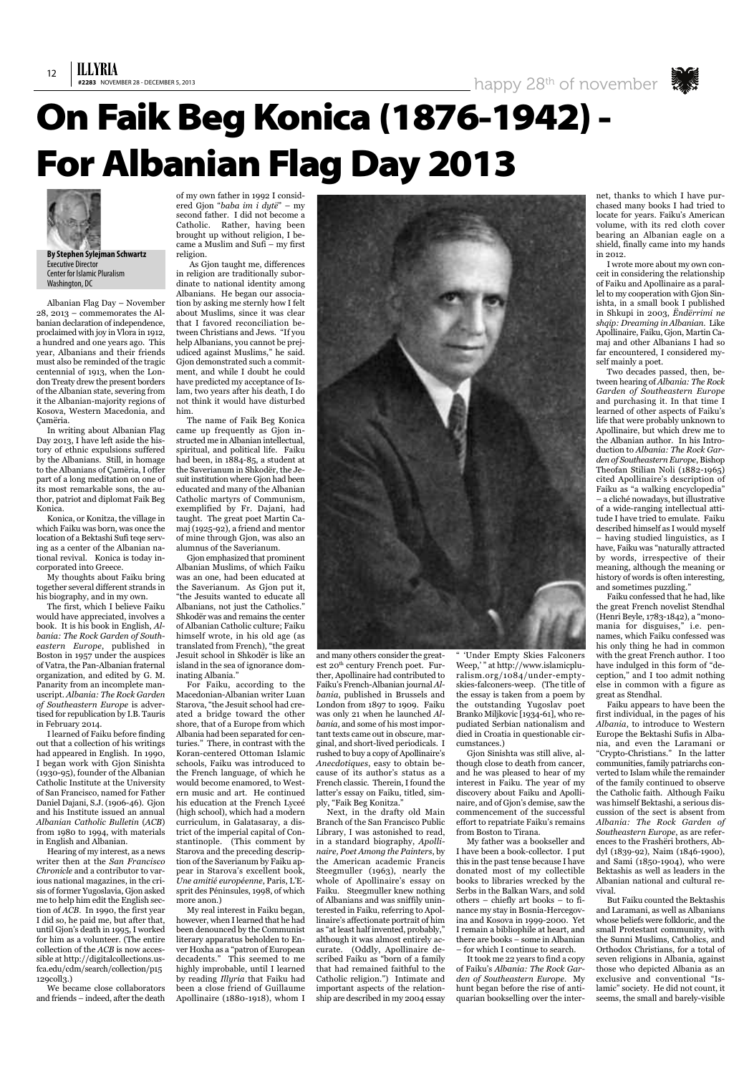

Albanian Flag Day – November 28, 2013 – commemorates the Albanian declaration of independence, proclaimed with joy in Vlora in 1912, a hundred and one years ago. This year, Albanians and their friends must also be reminded of the tragic centennial of 1913, when the London Treaty drew the present borders of the Albanian state, severing from it the Albanian-majority regions of Kosova, Western Macedonia, and Çamëria.

In writing about Albanian Flag Day 2013, I have left aside the history of ethnic expulsions suffered by the Albanians. Still, in homage to the Albanians of Çamëria, I offer part of a long meditation on one of its most remarkable sons, the author, patriot and diplomat Faik Beg Konica.

Konica, or Konitza, the village in which Faiku was born, was once the location of a Bektashi Sufi teqe serving as a center of the Albanian national revival. Konica is today incorporated into Greece.

My thoughts about Faiku bring together several different strands in his biography, and in my own.

The first, which I believe Faiku would have appreciated, involves a book. It is his book in English, *Albania: The Rock Garden of Southeastern Europe*, published in Boston in 1957 under the auspices of Vatra, the Pan-Albanian fraternal organization, and edited by G. M. Panarity from an incomplete manuscript. *Albania: The Rock Garden of Southeastern Europe* is advertised for republication by I.B. Tauris in February 2014.

I learned of Faiku before finding out that a collection of his writings had appeared in English. In 1990, I began work with Gjon Sinishta (1930-95), founder of the Albanian Catholic Institute at the University of San Francisco, named for Father Daniel Dajani, S.J. (1906-46). Gjon and his Institute issued an annual *Albanian Catholic Bulletin* (*ACB*) from 1980 to 1994, with materials

in English and Albanian.

Hearing of my interest, as a news writer then at the *San Francisco Chronicle* and a contributor to various national magazines, in the crisis of former Yugoslavia, Gjon asked me to help him edit the English section of *ACB*. In 1990, the first year I did so, he paid me, but after that, until Gjon's death in 1995, I worked for him as a volunteer. (The entire collection of the *ACB* is now accessible at http://digitalcollections.usfca.edu/cdm/search/collection/p15 129coll3.)

We became close collaborators and friends – indeed, after the death

of my own father in 1992 I considered Gjon "*baba im i dytë*" – my second father. I did not become a Catholic. Rather, having been brought up without religion, I became a Muslim and Sufi – my first religion.

As Gjon taught me, differences in religion are traditionally subordinate to national identity among Albanians. He began our association by asking me sternly how I felt about Muslims, since it was clear that I favored reconciliation between Christians and Jews. "If you help Albanians, you cannot be prejudiced against Muslims," he said. Gion demonstrated such a commitment, and while I doubt he could have predicted my acceptance of Islam, two years after his death, I do not think it would have disturbed him.

The name of Faik Beg Konica came up frequently as Gjon instructed me in Albanian intellectual, spiritual, and political life. Faiku had been, in 1884-85, a student at the Saverianum in Shkodër, the Jesuit institution where Gjon had been educated and many of the Albanian Catholic martyrs of Communism, exemplified by Fr. Dajani, had taught. The great poet Martin Camaj (1925-92), a friend and mentor of mine through Gjon, was also an alumnus of the Saverianum.

Gjon emphasized that prominent Albanian Muslims, of which Faiku was an one, had been educated at the Saverianum. As Gjon put it, "the Jesuits wanted to educate all Albanians, not just the Catholics." Shkodër was and remains the center of Albanian Catholic culture; Faiku himself wrote, in his old age (as translated from French), "the great Jesuit school in Shkodër is like an island in the sea of ignorance dominating Albania."

Two decades passed, then, between hearing of *Albania: The Rock Garden of Southeastern Europe* and purchasing it. In that time I learned of other aspects of Faiku's life that were probably unknown to Apollinaire, but which drew me to the Albanian author. In his Introduction to *Albania: The Rock Garden of Southeastern Europe*, Bishop Theofan Stilian Noli (1882-1965) cited Apollinaire's description of Faiku as "a walking encyclopedia" – a cliché nowadays, but illustrative of a wide-ranging intellectual attitude I have tried to emulate. Faiku described himself as I would myself – having studied linguistics, as I have, Faiku was "naturally attracted by words, irrespective of their meaning, although the meaning or history of words is often interesting, and sometimes puzzling."

For Faiku, according to the Macedonian-Albanian writer Luan Starova, "the Jesuit school had created a bridge toward the other shore, that of a Europe from which Albania had been separated for centuries." There, in contrast with the Koran-centered Ottoman Islamic schools, Faiku was introduced to the French language, of which he would become enamored, to Western music and art. He continued his education at the French Lyceé (high school), which had a modern curriculum, in Galatasaray, a district of the imperial capital of Con-



stantinople. (This comment by Starova and the preceding description of the Saverianum by Faiku appear in Starova's excellent book, *Une amitié européenne*, Paris, L'Esprit des Péninsules, 1998, of which more anon.)

My real interest in Faiku began, however, when Ilearned that he had been denounced by the Communist literary apparatus beholden to Enver Hoxha as a "patron of European decadents." This seemed to me highly improbable, until I learned by reading *Illyria* that Faiku had been a close friend of Guillaume Apollinaire (1880-1918), whom I

and many others consider the greatest 20<sup>th</sup> century French poet. Further, Apollinaire had contributed to Faiku's French-Albanian journal *Albania*, published in Brussels and London from 1897 to 1909. Faiku was only 21 when he launched *Albania*, and some of his most important texts came out in obscure, marginal, and short-lived periodicals. I rushed to buy a copy of Apollinaire's *Anecdotiques*, easy to obtain because of its author's status as a French classic. Therein, I found the latter's essay on Faiku, titled, simply, "Faik Beg Konitza."

Next, in the drafty old Main Branch of the San Francisco Public Library, I was astonished to read, in a standard biography, *Apollinaire, Poet Among the Painters*, by the American academic Francis Steegmuller (1963), nearly the whole of Apollinaire's essay on Faiku. Steegmuller knew nothing of Albanians and was sniffily uninterested in Faiku, referring to Apollinaire's affectionate portrait of him as "at least half invented, probably," although it was almost entirely accurate. (Oddly, Apollinaire described Faiku as "born of a family that had remained faithful to the Catholic religion.") Intimate and important aspects of the relationship are described in my 2004 essay

" 'Under Empty Skies Falconers Weep,'" at http://www.islamicpluralism.org/1084/under-emptyskies-falconers-weep. (The title of the essay is taken from a poem by the outstanding Yugoslav poet Branko Miljkovic [1934-61], who repudiated Serbian nationalism and died in Croatia in questionable circumstances.)

Gjon Sinishta was still alive, although close to death from cancer, and he was pleased to hear of my interest in Faiku. The year of my discovery about Faiku and Apollinaire, and of Gjon's demise, saw the commencement of the successful effort to repatriate Faiku's remains from Boston to Tirana. My father was a bookseller and I have been a book-collector. I put this in the past tense because I have donated most of my collectible books to libraries wrecked by the Serbs in the Balkan Wars, and sold others – chiefly art books – to finance my stay in Bosnia-Hercegovina and Kosova in 1999-2000. Yet I remain a bibliophile at heart, and there are books – some in Albanian – for which I continue to search.

It took me 22 years to find a copy of Faiku's *Albania: The Rock Garden of Southeastern Europe*. My hunt began before the rise of antiquarian bookselling over the internet, thanks to which I have purchased many books I had tried to locate for years. Faiku's American volume, with its red cloth cover bearing an Albanian eagle on a shield, finally came into my hands in 2012.

I wrote more about my own conceit in considering the relationship of Faiku and Apollinaire as a parallel to my cooperation with Gjon Sinishta, in a small book I published in Shkupi in 2003, *Ëndërrimi ne shqip: Dreaming in Albanian*. Like Apollinaire, Faiku, Gjon, Martin Camaj and other Albanians I had so far encountered, I considered myself mainly a poet.

Faiku confessed that he had, like the great French novelist Stendhal (Henri Beyle, 1783-1842), a "monomania for disguises," i.e. pennames, which Faiku confessed was his only thing he had in common with the great French author. I too have indulged in this form of "deception," and I too admit nothing else in common with a figure as great as Stendhal.

Faiku appears to have been the first individual, in the pages of his *Albania*, to introduce to Western Europe the Bektashi Sufis in Albania, and even the Laramani or "Crypto-Christians." In the latter communities, family patriarchs converted to Islam while the remainder of the family continued to observe the Catholic faith. Although Faiku was himself Bektashi, a serious discussion of the sect is absent from *Albania: The Rock Garden of Southeastern Europe*, as are references to the Frashëri brothers, Abdyl (1839-92), Naim (1846-1900), and Sami (1850-1904), who were Bektashis as well as leaders in the Albanian national and cultural revival. But Faiku counted the Bektashis and Laramani, as well as Albanians whose beliefs were folkloric, and the small Protestant community, with the Sunni Muslims, Catholics, and Orthodox Christians, for a total of seven religions in Albania, against those who depicted Albania as an exclusive and conventional "Islamic" society. He did not count, it seems, the small and barely-visible



## **On Faik Beg Konica (1876-1942)- For Albanian Flag Day 2013**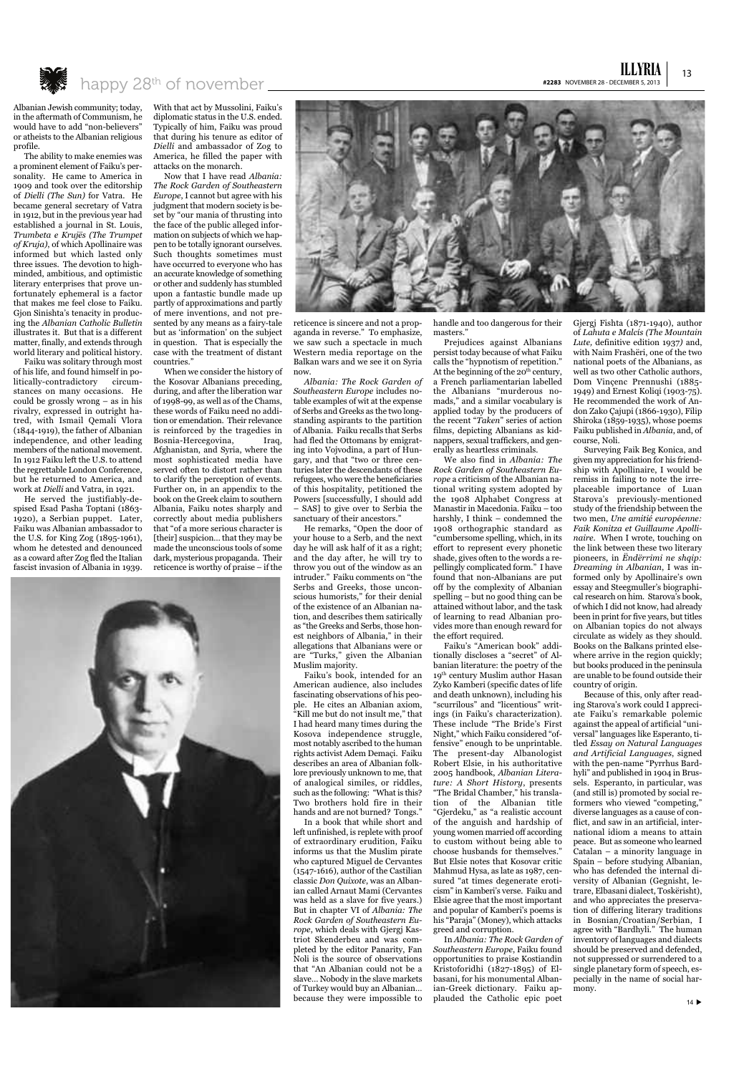13

ILLYRIA



The ability to make enemies was a prominent element of Faiku's personality. He came to America in 1909 and took over the editorship of *Dielli (The Sun)* for Vatra. He became general secretary of Vatra in 1912, but in the previous year had established a journal in St. Louis, *Trumbeta e Krujës (The Trumpet of Kruja)*, of which Apollinaire was informed but which lasted only three issues. The devotion to highminded, ambitious, and optimistic literary enterprises that prove unfortunately ephemeral is a factor that makes me feel close to Faiku. Gjon Sinishta's tenacity in producing the *Albanian Catholic Bulletin* illustrates it. But that is a different matter, finally, and extends through world literary and political history.

Faiku was solitary through most of his life, and found himself in politically-contradictory circumstances on many occasions. He could be grossly wrong – as in his rivalry, expressed in outright hatred, with Ismail Qemali Vlora (1844-1919), the father of Albanian independence, and other leading members of the national movement. In 1912 Faiku left the U.S. to attend the regrettable London Conference, but he returned to America, and work at *Dielli* and Vatra, in 1921.

He served the justifiably-despised Esad Pasha Toptani (1863- 1920), a Serbian puppet. Later, Faiku was Albanian ambassador to the U.S. for King Zog (1895-1961), whom he detested and denounced as a coward after Zog fled the Italian fascist invasion of Albania in 1939. With that act by Mussolini, Faiku's diplomatic status in the U.S. ended. Typically of him, Faiku was proud that during his tenure as editor of *Dielli* and ambassador of Zog to America, he filled the paper with attacks on the monarch.

Now that I have read *Albania: The Rock Garden of Southeastern Europe*, I cannot but agree with his judgment that modern society is beset by "our mania of thrusting into the face of the public alleged information on subjects of which we happen to be totally ignorant ourselves. Such thoughts sometimes must have occurred to everyone who has an accurate knowledge of something or other and suddenly has stumbled upon a fantastic bundle made up partly of approximations and partly of mere inventions, and not presented by any means as a fairy-tale but as 'information' on the subject in question. That is especially the case with the treatment of distant countries."

When we consider the history of the Kosovar Albanians preceding, during, and after the liberation war of 1998-99, as well as of the Chams, these words of Faiku need no addition or emendation. Their relevance is reinforced by the tragedies in Bosnia-Hercegovina, Iraq, Afghanistan, and Syria, where the most sophisticated media have served often to distort rather than to clarify the perception of events. Further on, in an appendix to the book on the Greek claim to southern Albania, Faiku notes sharply and correctly about media publishers that "of a more serious character is [their] suspicion... that they may be made the unconscious tools of some dark, mysterious propaganda. Their reticence is worthy of praise – if the



reticence is sincere and not a propaganda in reverse." To emphasize, we saw such a spectacle in much Western media reportage on the Balkan wars and we see it on Syria now.

*Albania: The Rock Garden of Southeastern Europe* includes notable examples of wit at the expense of Serbs and Greeks as the two longstanding aspirants to the partition of Albania. Faiku recalls that Serbs had fled the Ottomans by emigrating into Vojvodina, a part of Hungary, and that "two or three centuries later the descendants of these refugees, who were the beneficiaries of this hospitality, petitioned the Powers [successfully, I should add – SAS] to give over to Serbia the sanctuary of their ancestors."

He remarks, "Open the door of your house to a Serb, and the next day he will ask half of it as a right; and the day after, he will try to throw you out of the window as an intruder." Faiku comments on "the Serbs and Greeks, those unconscious humorists," for their denial of the existence of an Albanian nation, and describes them satirically as "the Greeks and Serbs, those honest neighbors of Albania," in their allegations that Albanians were or are "Turks," given the Albanian Muslim majority.

Faiku's book, intended for an American audience, also includes fascinating observations of his people. He cites an Albanian axiom, "Kill me but do not insult me," that I had heard many times during the Kosova independence struggle, most notably ascribed to the human rights activist Adem Demaçi. Faiku describes an area of Albanian folklore previously unknown to me, that of analogical similes, or riddles, such as the following: "What is this? Two brothers hold fire in their hands and are not burned? Tongs."

In a book that while short and left unfinished, is replete with proof of extraordinary erudition, Faiku informs us that the Muslim pirate who captured Miguel de Cervantes (1547-1616), author of the Castilian classic *Don Quixote*, was an Albanian called Arnaut Mami (Cervantes was held as a slave for five years.) But in chapter VI of *Albania: The Rock Garden of Southeastern Europe*, which deals with Gjergj Kastriot Skenderbeu and was completed by the editor Panarity, Fan Noli is the source of observations that "An Albanian could not be a slave… Nobody in the slave markets of Turkey would buy an Albanian… because they were impossible to

handle and too dangerous for their masters."

Prejudices against Albanians persist today because of what Faiku calls the "hypnotism of repetition." At the beginning of the  $20<sup>th</sup>$  century, a French parliamentarian labelled the Albanians "murderous nomads," and a similar vocabulary is applied today by the producers of the recent "*Taken*" series of action films, depicting Albanians as kidnappers, sexual traffickers, and generally as heartless criminals.

We also find in *Albania: The Rock Garden of Southeastern Europe* a criticism of the Albanian national writing system adopted by the 1908 Alphabet Congress at Manastir in Macedonia. Faiku – too harshly, I think – condemned the 1908 orthographic standard as "cumbersome spelling, which, in its effort to represent every phonetic shade, gives often to the words a repellingly complicated form." I have found that non-Albanians are put off by the complexity of Albanian spelling – but no good thing can be attained without labor, and the task of learning to read Albanian provides more than enough reward for the effort required.

Faiku's "American book" additionally discloses a "secret" of Albanian literature: the poetry of the 19th century Muslim author Hasan Zyko Kamberi (specific dates of life and death unknown), including his "scurrilous" and "licentious" writings (in Faiku's characterization). These include "The Bride's First Night," which Faiku considered "offensive" enough to be unprintable. The present-day Albanologist Robert Elsie, in his authoritative 2005 handbook, *Albanian Literature: A Short History*, presents "The Bridal Chamber," his translation of the Albanian title "Gjerdeku," as "a realistic account of the anguish and hardship of young women married off according to custom without being able to choose husbands for themselves." But Elsie notes that Kosovar critic Mahmud Hysa, as late as 1987, censured "at times degenerate eroticism" in Kamberi's verse. Faiku and Elsie agree that the most important and popular of Kamberi's poems is his "Paraja" (Money), which attacks greed and corruption. In *Albania: The Rock Garden of Southeastern Europe*, Faiku found opportunities to praise Kostiandin Kristoforidhi (1827-1895) of Elbasani, for his monumental Albanian-Greek dictionary. Faiku applauded the Catholic epic poet

Gjergj Fishta (1871-1940), author of *Lahuta e Malcís (The Mountain Lute,* definitive edition 1937*)* and, with Naim Frashëri, one of the two national poets of the Albanians, as well as two other Catholic authors, Dom Vinçenc Prennushi (1885- 1949) and Ernest Koliqi (1903-75). He recommended the work of Andon Zako Çajupi (1866-1930), Filip Shiroka (1859-1935), whose poems Faiku published in *Albania*, and, of course, Noli.

Surveying Faik Beg Konica, and given my appreciation for his friendship with Apollinaire, I would be remiss in failing to note the irreplaceable importance of Luan Starova's previously-mentioned study of the friendship between the two men, *Une amitié européenne: Faik Konitza et Guillaume Apollinaire*. When I wrote, touching on the link between these two literary pioneers, in *Ëndërrimi ne shqip: Dreaming in Albanian*, I was informed only by Apollinaire's own essay and Steegmuller's biographical research on him. Starova's book, of which I did not know, had already been in print for five years, but titles on Albanian topics do not always circulate as widely as they should. Books on the Balkans printed elsewhere arrive in the region quickly; but books produced in the peninsula are unable to be found outside their country of origin.

Because of this, only after reading Starova's work could I appreciate Faiku's remarkable polemic against the appeal of artificial "universal" languages like Esperanto, titled *Essay on Natural Languages and Artificial Languages*, signed with the pen-name "Pyrrhus Bardhyli" and published in 1904 in Brussels. Esperanto, in particular, was (and still is) promoted by social reformers who viewed "competing," diverse languages as a cause of conflict, and saw in an artificial, international idiom a means to attain peace. But as someone who learned Catalan – a minority language in Spain – before studying Albanian, who has defended the internal diversity of Albanian (Gegnisht, letrare, Elbasani dialect, Toskërisht), and who appreciates the preservation of differing literary traditions in Bosnian/Croatian/Serbian, I agree with "Bardhyli." The human inventory of languages and dialects should be preserved and defended, not suppressed or surrendered to a single planetary form of speech, especially in the name of social harmony.



14 $\blacktriangleright$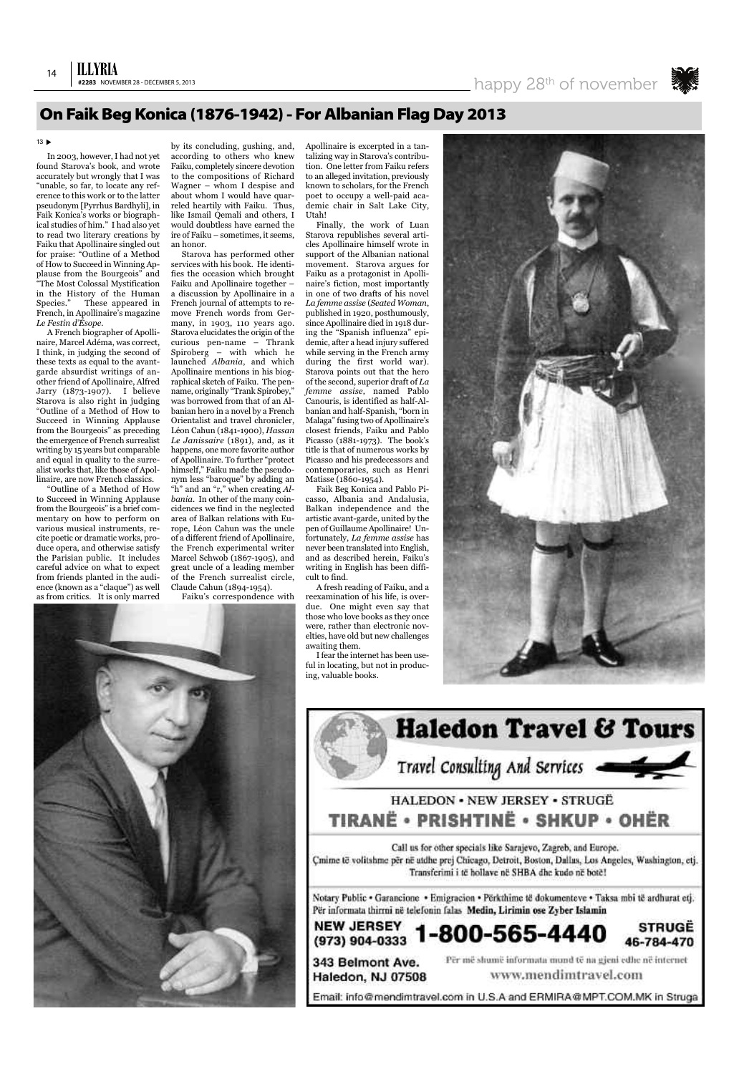## ILLYRIA

Call us for other specials like Sarajevo, Zagreb, and Europe. Çmime të volitshme për në atdhe prej Chicago, Detroit, Boston, Dallas, Los Angeles, Washington, etj. Transferimi i të hollave në SHBA dhe kudo në botë!

Notary Public • Garancione • Emigracion • Përkthime të dokumenteve • Taksa mbi të ardhurat etj. Për informata thirrni në telefonin falas Medin, Lirimin ose Zyber Islamin

#### **NEW JERSEY STRUGE** 1-800-565-4440 (973) 904-0333 46-784-470

343 Belmont Ave. Haledon, NJ 07508 Për më shumë informata mund të na gjeni edhe në internet www.mendimtravel.com

Email: info@mendimtravel.com in U.S.A and ERMIRA@MPT.COM.MK in Struga

In 2003, however,I had not yet found Starova's book, and wrote accurately but wrongly that I was "unable, so far, to locate any reference to this work or to the latter pseudonym [Pyrrhus Bardhyli], in Faik Konica's works or biographical studies of him." I had also yet to read two literary creations by Faiku that Apollinaire singled out for praise: "Outline of a Method of How to Succeed in Winning Applause from the Bourgeois" and "The Most Colossal Mystification in the History of the Human Species." These appeared in French, in Apollinaire's magazine *Le Festin d'Ésope*.

A French biographer of Apollinaire, Marcel Adéma, was correct, I think, in judging the second of these texts as equal to the avantgarde absurdist writings of another friend of Apollinaire, Alfred Jarry (1873-1907). I believe Starova is also right in judging "Outline of a Method of How to Succeed in Winning Applause from the Bourgeois" as preceding the emergence of French surrealist writing by 15 years but comparable and equal in quality to the surrealist works that, like those of Apollinaire, are now French classics.

"Outline of a Method of How to Succeed in Winning Applause from the Bourgeois" is a brief commentary on how to perform on various musical instruments, recite poetic or dramatic works, produce opera, and otherwise satisfy the Parisian public. It includes careful advice on what to expect from friends planted in the audience (known as a "claque") as well as from critics. It is only marred

by its concluding, gushing, and, according to others who knew Faiku, completely sincere devotion to the compositions of Richard Wagner – whom I despise and about whom I would have quarreled heartily with Faiku. Thus, like Ismail Qemali and others, I would doubtless have earned the ire of Faiku – sometimes, it seems, an honor.

Starova has performed other services with his book. He identifies the occasion which brought Faiku and Apollinaire together – a discussion by Apollinaire in a French journal of attempts to remove French words from Germany, in 1903, 110 years ago. Starova elucidates the origin of the curious pen-name – Thrank Spiroberg – with which he launched *Albania*, and which Apollinaire mentions in his biographical sketch of Faiku. The penname, originally "Trank Spirobey," was borrowed from that of an Albanian hero in a novel by a French Orientalist and travel chronicler, Léon Cahun (1841-1900), *Hassan Le Janissaire* (1891), and, as it happens, one more favorite author of Apollinaire. To further "protect himself," Faiku made the pseudonym less "baroque" by adding an "h" and an "r," when creating *Albania*. In other of the many coincidences we find in the neglected area of Balkan relations with Europe, Léon Cahun was the uncle of a different friend of Apollinaire, the French experimental writer Marcel Schwob (1867-1905), and great uncle of a leading member of the French surrealist circle, Claude Cahun (1894-1954).

Faiku's correspondence with

Apollinaire is excerpted in a tantalizing way in Starova's contribution. One letter from Faiku refers to an alleged invitation, previously known to scholars, for the French poet to occupy a well-paid academic chair in Salt Lake City, Utah!

Finally, the work of Luan Starova republishes several articles Apollinaire himself wrote in support of the Albanian national movement. Starova argues for Faiku as a protagonist in Apollinaire's fiction, most importantly in one of two drafts of his novel *La femme assise* (*Seated Woman*, published in 1920, posthumously, since Apollinaire died in 1918 during the "Spanish influenza" epidemic, after a head injury suffered while serving in the French army during the first world war). Starova points out that the hero of the second, superior draft of *La femme assise*, named Pablo Canouris, is identified as half-Albanian and half-Spanish, "born in Malaga" fusing two of Apollinaire's closest friends, Faiku and Pablo Picasso (1881-1973). The book's title is that of numerous works by Picasso and his predecessors and contemporaries, such as Henri Matisse (1860-1954).

Faik Beg Konica and Pablo Picasso, Albania and Andalusia, Balkan independence and the artistic avant-garde, united by the pen of Guillaume Apollinaire! Unfortunately, *La femme assise* has never been translated into English, and as described herein, Faiku's writing in English has been difficult to find.

A fresh reading of Faiku, and a reexamination of his life, is overdue. One might even say that those who love books as they once were, rather than electronic novelties, have old but new challenges awaiting them.

Ifear the internet has been useful in locating, but not in producing, valuable books.







### **On Faik Beg Konica (1876-1942)- For Albanian Flag Day 2013**

#### $13 \triangleright$